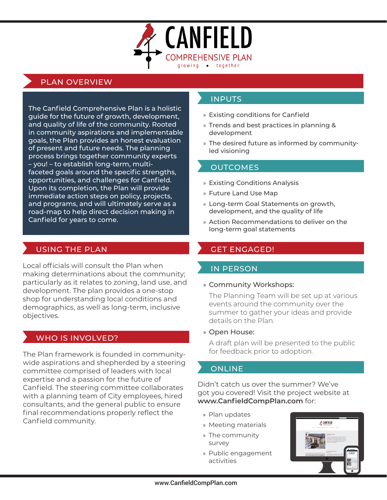

# PLAN OVERVIEW

The Canfield Comprehensive Plan is a holistic guide for the future of growth, development, and quality of life of the community. Rooted in community aspirations and implementable goals, the Plan provides an honest evaluation of present and future needs. The planning process brings together community experts – you! – to establish long-term, multifaceted goals around the specific strengths, opportunities, and challenges for Canfield. Upon its completion, the Plan will provide immediate action steps on policy, projects, and programs, and will ultimately serve as a road-map to help direct decision making in Canfield for years to come.

# USING THE PLAN GET ENGAGED!

Local officials will consult the Plan when making determinations about the community; particularly as it relates to zoning, land use, and development. The plan provides a one-stop shop for understanding local conditions and demographics, as well as long-term, inclusive objectives.

# WHO IS INVOLVED?

The Plan framework is founded in communitywide aspirations and shepherded by a steering committee comprised of leaders with local expertise and a passion for the future of Canfield. The steering committee collaborates with a planning team of City employees, hired consultants, and the general public to ensure final recommendations properly reflect the Canfield community.

# INPUTS

- » Existing conditions for Canfield
- » Trends and best practices in planning & development
- » The desired future as informed by communityled visioning

## **OUTCOMES**

- » Existing Conditions Analysis
- » Future Land Use Map
- » Long-term Goal Statements on growth, development, and the quality of life
- » Action Recommendations to deliver on the long-term goal statements

## IN PERSON

### » Community Workshops:

The Planning Team will be set up at various events around the community over the summer to gather your ideas and provide details on the Plan.

### » Open House:

A draft plan will be presented to the public for feedback prior to adoption.

# **ONLINE**

Didn't catch us over the summer? We've got you covered! Visit the project website at **www.CanfieldCompPlan.com** for:

- » Plan updates
- » Meeting materials
- » The community survey
- » Public engagement activities